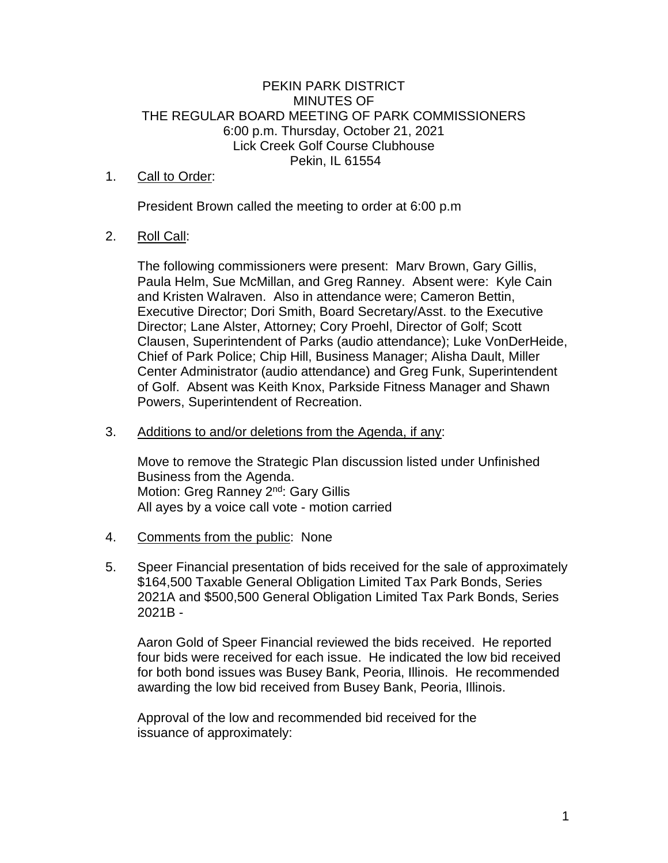## PEKIN PARK DISTRICT MINUTES OF THE REGULAR BOARD MEETING OF PARK COMMISSIONERS 6:00 p.m. Thursday, October 21, 2021 Lick Creek Golf Course Clubhouse Pekin, IL 61554

## 1. Call to Order:

President Brown called the meeting to order at 6:00 p.m

## 2. Roll Call:

The following commissioners were present: Marv Brown, Gary Gillis, Paula Helm, Sue McMillan, and Greg Ranney. Absent were: Kyle Cain and Kristen Walraven. Also in attendance were; Cameron Bettin, Executive Director; Dori Smith, Board Secretary/Asst. to the Executive Director; Lane Alster, Attorney; Cory Proehl, Director of Golf; Scott Clausen, Superintendent of Parks (audio attendance); Luke VonDerHeide, Chief of Park Police; Chip Hill, Business Manager; Alisha Dault, Miller Center Administrator (audio attendance) and Greg Funk, Superintendent of Golf. Absent was Keith Knox, Parkside Fitness Manager and Shawn Powers, Superintendent of Recreation.

## 3. Additions to and/or deletions from the Agenda, if any:

Move to remove the Strategic Plan discussion listed under Unfinished Business from the Agenda. Motion: Greg Ranney 2<sup>nd</sup>: Gary Gillis All ayes by a voice call vote - motion carried

- 4. Comments from the public: None
- 5. Speer Financial presentation of bids received for the sale of approximately \$164,500 Taxable General Obligation Limited Tax Park Bonds, Series 2021A and \$500,500 General Obligation Limited Tax Park Bonds, Series 2021B -

Aaron Gold of Speer Financial reviewed the bids received. He reported four bids were received for each issue. He indicated the low bid received for both bond issues was Busey Bank, Peoria, Illinois. He recommended awarding the low bid received from Busey Bank, Peoria, Illinois.

Approval of the low and recommended bid received for the issuance of approximately: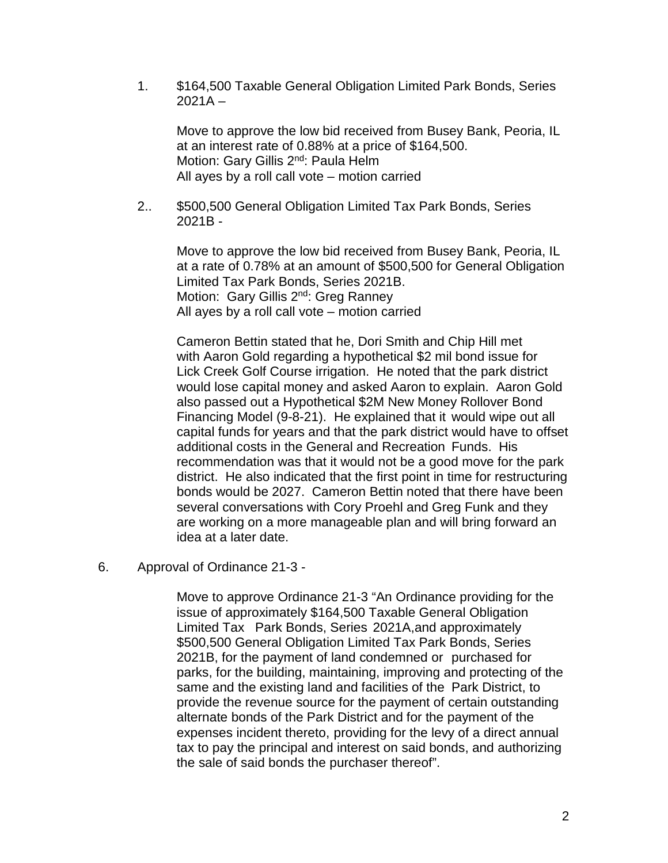1. \$164,500 Taxable General Obligation Limited Park Bonds, Series  $2021A -$ 

Move to approve the low bid received from Busey Bank, Peoria, IL at an interest rate of 0.88% at a price of \$164,500. Motion: Gary Gillis 2<sup>nd</sup>: Paula Helm All ayes by a roll call vote – motion carried

2.. \$500,500 General Obligation Limited Tax Park Bonds, Series 2021B -

Move to approve the low bid received from Busey Bank, Peoria, IL at a rate of 0.78% at an amount of \$500,500 for General Obligation Limited Tax Park Bonds, Series 2021B. Motion: Gary Gillis 2<sup>nd</sup>: Greg Ranney All ayes by a roll call vote – motion carried

Cameron Bettin stated that he, Dori Smith and Chip Hill met with Aaron Gold regarding a hypothetical \$2 mil bond issue for Lick Creek Golf Course irrigation. He noted that the park district would lose capital money and asked Aaron to explain. Aaron Gold also passed out a Hypothetical \$2M New Money Rollover Bond Financing Model (9-8-21). He explained that it would wipe out all capital funds for years and that the park district would have to offset additional costs in the General and Recreation Funds. His recommendation was that it would not be a good move for the park district. He also indicated that the first point in time for restructuring bonds would be 2027. Cameron Bettin noted that there have been several conversations with Cory Proehl and Greg Funk and they are working on a more manageable plan and will bring forward an idea at a later date.

6. Approval of Ordinance 21-3 -

Move to approve Ordinance 21-3 "An Ordinance providing for the issue of approximately \$164,500 Taxable General Obligation Limited Tax Park Bonds, Series 2021A,and approximately \$500,500 General Obligation Limited Tax Park Bonds, Series 2021B, for the payment of land condemned or purchased for parks, for the building, maintaining, improving and protecting of the same and the existing land and facilities of the Park District, to provide the revenue source for the payment of certain outstanding alternate bonds of the Park District and for the payment of the expenses incident thereto, providing for the levy of a direct annual tax to pay the principal and interest on said bonds, and authorizing the sale of said bonds the purchaser thereof".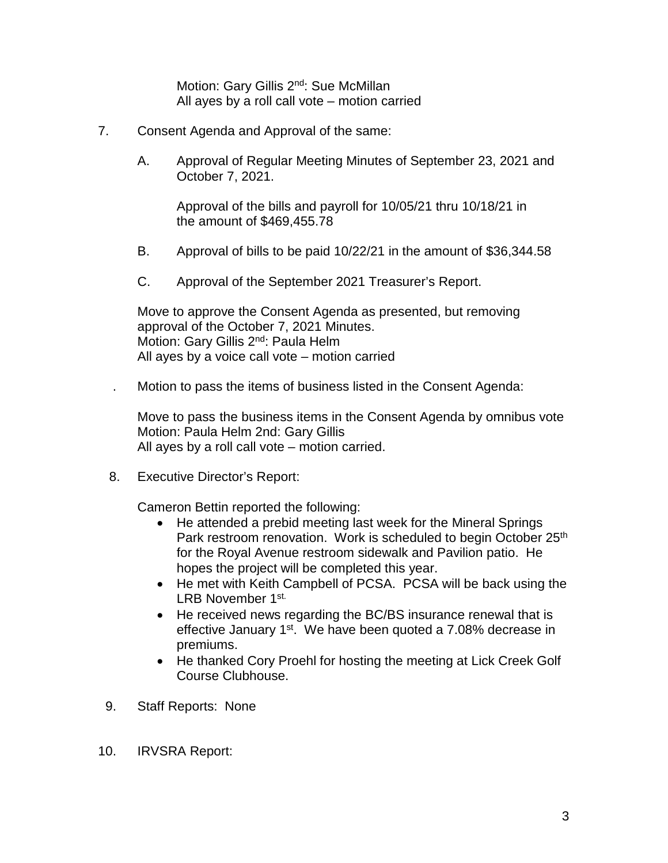Motion: Gary Gillis 2<sup>nd</sup>: Sue McMillan All ayes by a roll call vote – motion carried

- 7. Consent Agenda and Approval of the same:
	- A. Approval of Regular Meeting Minutes of September 23, 2021 and October 7, 2021.

Approval of the bills and payroll for 10/05/21 thru 10/18/21 in the amount of \$469,455.78

- B. Approval of bills to be paid 10/22/21 in the amount of \$36,344.58
- C. Approval of the September 2021 Treasurer's Report.

Move to approve the Consent Agenda as presented, but removing approval of the October 7, 2021 Minutes. Motion: Gary Gillis 2<sup>nd</sup>: Paula Helm All ayes by a voice call vote – motion carried

. Motion to pass the items of business listed in the Consent Agenda:

Move to pass the business items in the Consent Agenda by omnibus vote Motion: Paula Helm 2nd: Gary Gillis All ayes by a roll call vote – motion carried.

8. Executive Director's Report:

Cameron Bettin reported the following:

- He attended a prebid meeting last week for the Mineral Springs Park restroom renovation. Work is scheduled to begin October 25<sup>th</sup> for the Royal Avenue restroom sidewalk and Pavilion patio. He hopes the project will be completed this year.
- He met with Keith Campbell of PCSA. PCSA will be back using the LRB November 1st.
- He received news regarding the BC/BS insurance renewal that is effective January 1<sup>st</sup>. We have been quoted a 7.08% decrease in premiums.
- He thanked Cory Proehl for hosting the meeting at Lick Creek Golf Course Clubhouse.
- 9. Staff Reports: None
- 10. IRVSRA Report: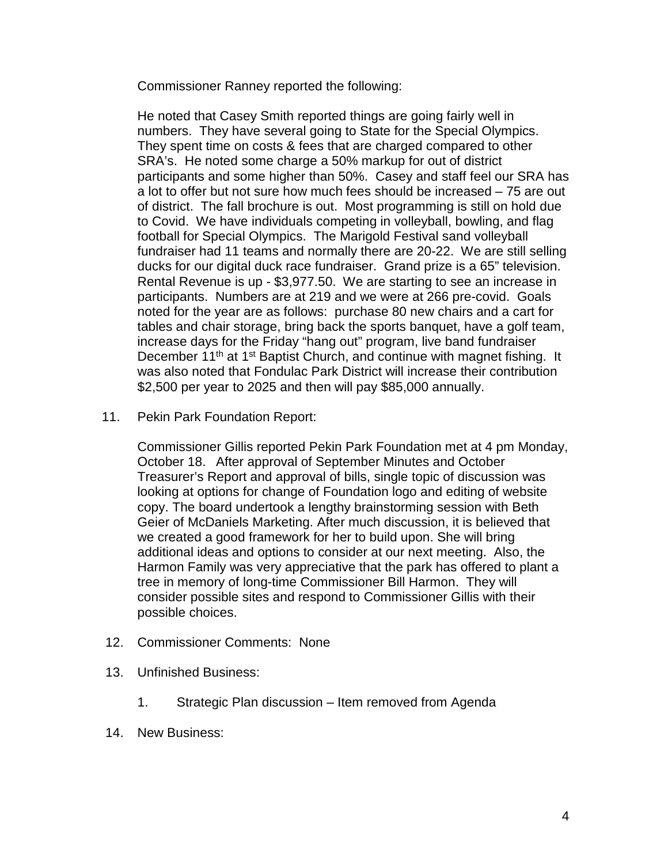Commissioner Ranney reported the following:

He noted that Casey Smith reported things are going fairly well in numbers. They have several going to State for the Special Olympics. They spent time on costs & fees that are charged compared to other SRA's. He noted some charge a 50% markup for out of district participants and some higher than 50%. Casey and staff feel our SRA has a lot to offer but not sure how much fees should be increased – 75 are out of district. The fall brochure is out. Most programming is still on hold due to Covid. We have individuals competing in volleyball, bowling, and flag football for Special Olympics. The Marigold Festival sand volleyball fundraiser had 11 teams and normally there are 20-22. We are still selling ducks for our digital duck race fundraiser. Grand prize is a 65" television. Rental Revenue is up - \$3,977.50. We are starting to see an increase in participants. Numbers are at 219 and we were at 266 pre-covid. Goals noted for the year are as follows: purchase 80 new chairs and a cart for tables and chair storage, bring back the sports banquet, have a golf team, increase days for the Friday "hang out" program, live band fundraiser December 11<sup>th</sup> at 1<sup>st</sup> Baptist Church, and continue with magnet fishing. It was also noted that Fondulac Park District will increase their contribution \$2,500 per year to 2025 and then will pay \$85,000 annually.

11. Pekin Park Foundation Report:

Commissioner Gillis reported Pekin Park Foundation met at 4 pm Monday, October 18. After approval of September Minutes and October Treasurer's Report and approval of bills, single topic of discussion was looking at options for change of Foundation logo and editing of website copy. The board undertook a lengthy brainstorming session with Beth Geier of McDaniels Marketing. After much discussion, it is believed that we created a good framework for her to build upon. She will bring additional ideas and options to consider at our next meeting. Also, the Harmon Family was very appreciative that the park has offered to plant a tree in memory of long-time Commissioner Bill Harmon. They will consider possible sites and respond to Commissioner Gillis with their possible choices.

- 12. Commissioner Comments: None
- 13. Unfinished Business:
	- 1. Strategic Plan discussion Item removed from Agenda
- 14. New Business: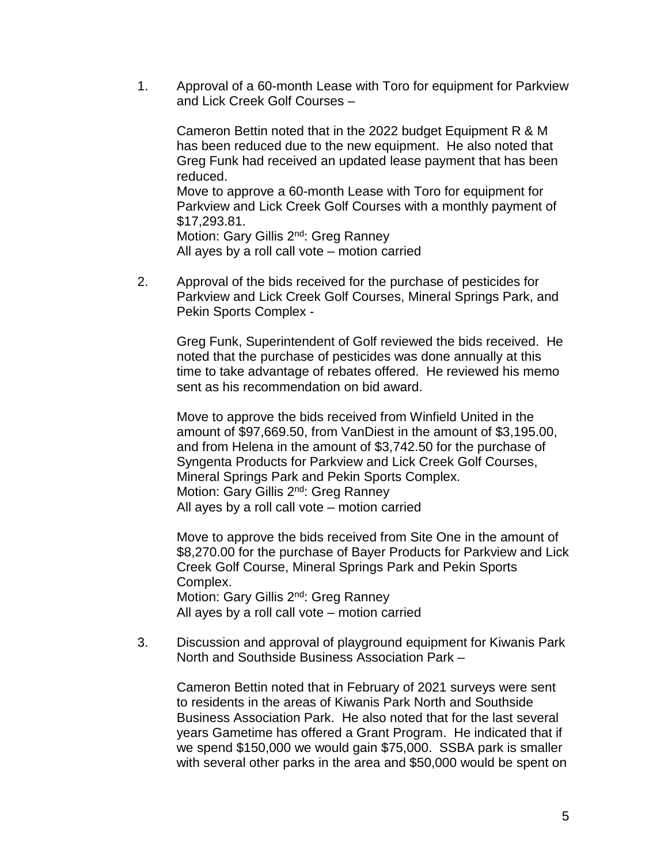1. Approval of a 60-month Lease with Toro for equipment for Parkview and Lick Creek Golf Courses –

Cameron Bettin noted that in the 2022 budget Equipment R & M has been reduced due to the new equipment. He also noted that Greg Funk had received an updated lease payment that has been reduced. Move to approve a 60-month Lease with Toro for equipment for

Parkview and Lick Creek Golf Courses with a monthly payment of \$17,293.81.

Motion: Gary Gillis 2<sup>nd</sup>: Greg Ranney All ayes by a roll call vote – motion carried

2. Approval of the bids received for the purchase of pesticides for Parkview and Lick Creek Golf Courses, Mineral Springs Park, and Pekin Sports Complex -

Greg Funk, Superintendent of Golf reviewed the bids received. He noted that the purchase of pesticides was done annually at this time to take advantage of rebates offered. He reviewed his memo sent as his recommendation on bid award.

Move to approve the bids received from Winfield United in the amount of \$97,669.50, from VanDiest in the amount of \$3,195.00, and from Helena in the amount of \$3,742.50 for the purchase of Syngenta Products for Parkview and Lick Creek Golf Courses, Mineral Springs Park and Pekin Sports Complex. Motion: Gary Gillis 2<sup>nd</sup>: Greg Ranney All ayes by a roll call vote – motion carried

Move to approve the bids received from Site One in the amount of \$8,270.00 for the purchase of Bayer Products for Parkview and Lick Creek Golf Course, Mineral Springs Park and Pekin Sports Complex. Motion: Gary Gillis 2<sup>nd</sup>: Greg Ranney All ayes by a roll call vote – motion carried

3. Discussion and approval of playground equipment for Kiwanis Park North and Southside Business Association Park –

Cameron Bettin noted that in February of 2021 surveys were sent to residents in the areas of Kiwanis Park North and Southside Business Association Park. He also noted that for the last several years Gametime has offered a Grant Program. He indicated that if we spend \$150,000 we would gain \$75,000. SSBA park is smaller with several other parks in the area and \$50,000 would be spent on